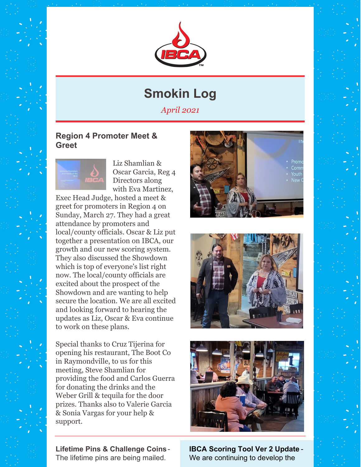

## **Smokin Log**

*April 2021*

#### **Region 4 Promoter Meet & Greet**



Liz Shamlian & Oscar Garcia, Reg 4 Directors along with Eva Martinez,

Exec Head Judge, hosted a meet & greet for promoters in Region 4 on Sunday, March 27. They had a great attendance by promoters and local/county officials. Oscar & Liz put together a presentation on IBCA, our growth and our new scoring system. They also discussed the Showdown which is top of everyone's list right now. The local/county officials are excited about the prospect of the Showdown and are wanting to help secure the location. We are all excited and looking forward to hearing the updates as Liz, Oscar & Eva continue to work on these plans.

Special thanks to Cruz Tijerina for opening his restaurant, The Boot Co in Raymondville, to us for this meeting, Steve Shamlian for providing the food and Carlos Guerra for donating the drinks and the Weber Grill & tequila for the door prizes. Thanks also to Valerie Garcia & Sonia Vargas for your help & support.

**Lifetime Pins & Challenge Coins** - The lifetime pins are being mailed.







**IBCA Scoring Tool Ver 2 Update** - We are continuing to develop the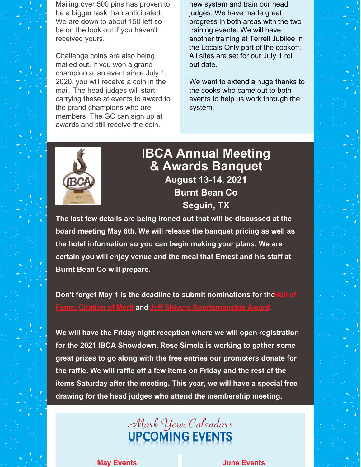Mailing over 500 pins has proven to be a bigger task than anticipated. We are down to about 150 left so be on the look out if you haven't received yours.

Challenge coins are also being mailed out. If you won a grand champion at an event since July 1, 2020, you will receive a coin in the mail. The head judges will start carrying these at events to award to the grand champions who are members. The GC can sign up at awards and still receive the coin.

new system and train our head judges. We have made great progress in both areas with the two training events. We will have another training at Terrell Jubilee in the Locals Only part of the cookoff. All sites are set for our July 1 roll out date.

We want to extend a huge thanks to the cooks who came out to both events to help us work through the system.



### **IBCA Annual Meeting & Awards Banquet August 13-14, 2021 Burnt Bean Co Seguin, TX**

**The last few details are being ironed out that will be discussed at the board meeting May 8th. We will release the banquet pricing as well as the hotel information so you can begin making your plans. We are certain you will enjoy venue and the meal that Ernest and his staff at Burnt Bean Co will prepare.**

**Don't forget May 1 is the deadline to submit nominations for the Hall of Fame, Citation of Merit and Jeff Shivers [Sportsmanship](https://ibcabbq.org/jeff-shivers-sportsmanship-award-nomination/) Award.**

**We will have the Friday night reception where we will open registration for the 2021 IBCA Showdown. Rose Simola is working to gather some great prizes to go along with the free entries our promoters donate for the raffle. We will raffle off a few items on Friday and the rest of the items Saturday after the meeting. This year, we will have a special free drawing for the head judges who attend the membership meeting.**

# Mark Your Calendars

**May [Events](https://ibcabbq.org/events/) June [Events](https://ibcabbq.org/events/)**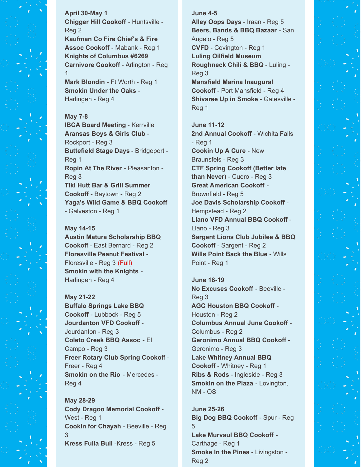**April 30-May 1 Chigger Hill Cookoff** - Huntsville - Reg 2 **Kaufman Co Fire Chief's & Fire Assoc Cookoff** - Mabank - Reg 1 **Knights of Columbus #6269 Carnivore Cookoff** - Arlington - Reg 1

**Mark Blondin** - Ft Worth - Reg 1 **Smokin Under the Oaks** - Harlingen - Reg 4

#### **May 7-8**

**IBCA Board Meeting** - Kerrville **Aransas Boys & Girls Club** - Rockport - Reg 3 **Buttefield Stage Days** - Bridgeport - Reg 1 **Ropin At The River** - Pleasanton - Reg 3 **Tiki Hutt Bar & Grill Summer Cookoff** - Baytown - Reg 2 **Yaga's Wild Game & BBQ Cookoff** - Galveston - Reg 1

#### **May 14-15**

**Austin Matura Scholarship BBQ Cookof**f - East Bernard - Reg 2 **Floresville Peanut Festival** - Floresville - Reg 3 (Full) **Smokin with the Knights** - Harlingen - Reg 4

#### **May 21-22 Buffalo Springs Lake BBQ Cookoff** - Lubbock - Reg 5 **Jourdanton VFD Cookoff** - Jourdanton - Reg 3 **Coleto Creek BBQ Assoc** - El Campo - Reg 3 **Freer Rotary Club Spring Cooko**ff - Freer - Reg 4

**Smokin on the Rio** - Mercedes - Reg 4

**May 28-29 Cody Dragoo Memorial Cookoff** - West - Reg 1 **Cookin for Chayah** - Beeville - Reg 3 **Kress Fulla Bull** -Kress - Reg 5

#### **June 4-5**

**Alley Oops Days** - Iraan - Reg 5 **Beers, Bands & BBQ Bazaar** - San Angelo - Reg 5 **CVFD** - Covington - Reg 1 **Luling Oilfield Museum Roughneck Chili & BBQ** - Luling - Reg 3 **Mansfield Marina Inaugural Cookoff** - Port Mansfield - Reg 4 **Shivaree Up in Smoke** - Gatesville - Reg 1

**June 11-12 2nd Annual Cookoff** - Wichita Falls - Reg 1 **Cookin Up A Cure** - New Braunsfels - Reg 3 **CTF Spring Cookoff (Better late than Never)** - Cuero - Reg 3 **Great American Cookoff** - Brownfield - Reg 5 **Joe Davis Scholarship Cookoff** - Hempstead - Reg 2 **Llano VFD Annual BBQ Cookoff** - Llano - Reg 3 **Sargent Lions Club Jubilee & BBQ Cookoff** - Sargent - Reg 2 **Wills Point Back the Blue** - Wills Point - Reg 1

**June 18-19 No Excuses Cookoff** - Beeville - Reg 3 **AGC Houston BBQ Cookoff** - Houston - Reg 2 **Columbus Annual June Cookoff** - Columbus - Reg 2 **Geronimo Annual BBQ Cookoff** - Geronimo - Reg 3 **Lake Whitney Annual BBQ Cookoff** - Whitney - Reg 1 **Ribs & Rods** - Ingleside - Reg 3 **Smokin on the Plaza** - Lovington, NM - OS

**June 25-26 Big Dog BBQ Cookoff** - Spur - Reg 5 **Lake Murvaul BBQ Cookoff** - Carthage - Reg 1 **Smoke In the Pines** - Livingston - Reg 2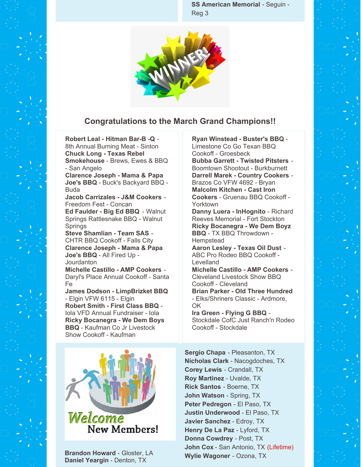**SS American Memorial** - Seguin - Reg 3



#### **Congratulations to the March Grand Champions!!**

**Robert Leal - Hitman Bar-B -Q** - 8th Annual Burning Meat - Sinton **Chuck Long - Texas Rebel Smokehouse** - Brews, Ewes & BBQ - San Angelo

**Clarence Joseph - Mama & Papa Joe's BBQ** - Buck's Backyard BBQ - Buda

**Jacob Carrizales - J&M Cookers** - Freedom Fest - Concan

**Ed Faulder - Big Ed BBQ** - Walnut Springs Rattlesnake BBQ - Walnut **Springs** 

**Steve Shamlian - Team SAS** - CHTR BBQ Cookoff - Falls City **Clarence Joseph - Mama & Papa Joe's BBQ** - All Fired Up - Jourdanton

**Michelle Castillo - AMP Cookers** - Daryl's Place Annual Cookoff - Santa Fe

**James Dodson - LimpBrizket BBQ** - Elgin VFW 6115 - Elgin **Robert Smith - First Class BBQ** - Iola VFD Annual Fundraiser - Iola **Ricky Bocanegra - We Dem Boys BBQ** - Kaufman Co Jr Livestock Show Cookoff - Kaufman



**Brandon Howard** - Gloster, LA **Daniel Yeargin** - Denton, TX

**Ryan Winstead - Buster's BBQ** - Limestone Co Go Texan BBQ Cookoff - Groesbeck

**Bubba Garrett - Twisted Pitsters** - Boomtown Shootout - Burkburnett **Darrell Marek - Country Cookers** - Brazos Co VFW 4692 - Bryan **Malcolm Kitchen - Cast Iron Cookers** - Gruenau BBQ Cookoff - Yorktown

**Danny Luera - InHognito** - Richard Reeves Memorial - Fort Stockton **Ricky Bocanegra - We Dem Boyz BBQ** - TX BBQ Throwdown - **Hempstead** 

**Aaron Lesley - Texas Oil Dust** - ABC Pro Rodeo BBQ Cookoff - **Levelland** 

**Michelle Castillo - AMP Cookers** - Cleveland Livestock Show BBQ Cookoff - Cleveland **Brian Parker - Old Three Hundred**

- Elks/Shriners Classic - Ardmore, OK

**Ira Green - Flying G BBQ** - Stockdale CofC Just Ranch'n Rodeo Cookoff - Stockdale

**Sergio Chapa** - Pleasanton, TX **Nicholas Clark** - Nacogdoches, TX **Corey Lewis** - Crandall, TX **Roy Martinez** - Uvalde, TX **Rick Santos** - Boerne, TX **John Watson** - Spring, TX **Peter Pedregon** - El Paso, TX **Justin Underwood** - El Paso, TX **Javier Sanchez** - Edroy, TX **Henry De La Paz** - Lyford, TX **Donna Cowdrey** - Post, TX **John Cox** - San Antonio, TX (Lifetime) **Wylie Wagoner** - Ozona, TX